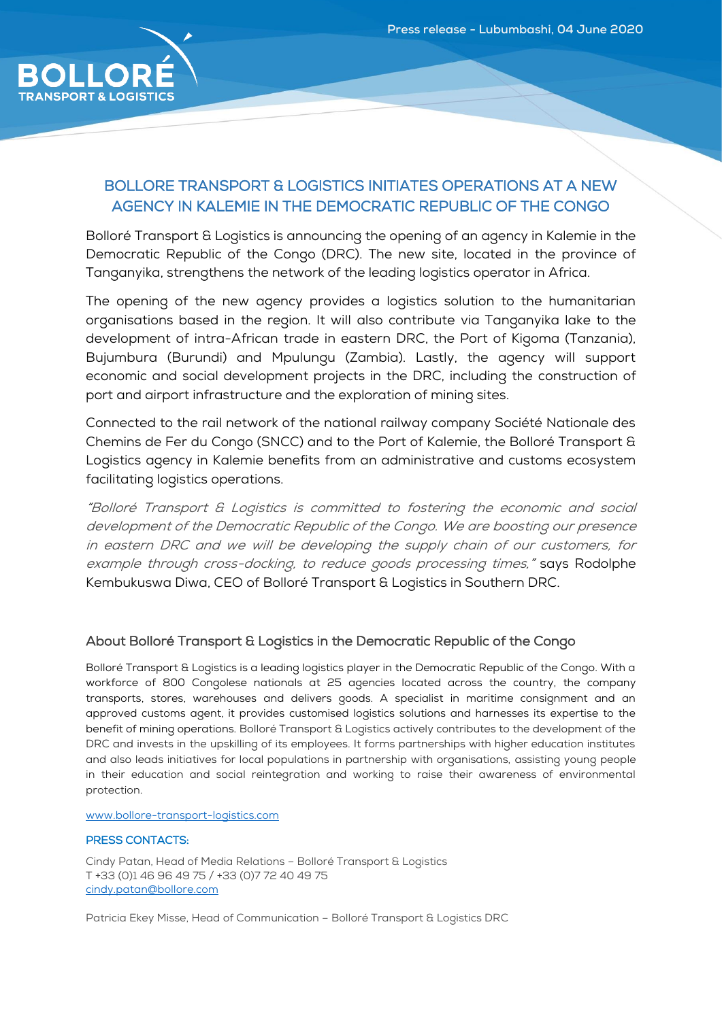

## BOLLORE TRANSPORT & LOGISTICS INITIATES OPERATIONS AT A NEW AGENCY IN KALEMIE IN THE DEMOCRATIC REPUBLIC OF THE CONGO

Bolloré Transport & Logistics is announcing the opening of an agency in Kalemie in the Democratic Republic of the Congo (DRC). The new site, located in the province of Tanganyika, strengthens the network of the leading logistics operator in Africa.

The opening of the new agency provides a logistics solution to the humanitarian organisations based in the region. It will also contribute via Tanganyika lake to the development of intra-African trade in eastern DRC, the Port of Kigoma (Tanzania), Bujumbura (Burundi) and Mpulungu (Zambia). Lastly, the agency will support economic and social development projects in the DRC, including the construction of port and airport infrastructure and the exploration of mining sites.

Connected to the rail network of the national railway company Société Nationale des Chemins de Fer du Congo (SNCC) and to the Port of Kalemie, the Bolloré Transport & Logistics agency in Kalemie benefits from an administrative and customs ecosystem facilitating logistics operations.

"Bolloré Transport & Logistics is committed to fostering the economic and social development of the Democratic Republic of the Congo. We are boosting our presence in eastern DRC and we will be developing the supply chain of our customers, for example through cross-docking, to reduce goods processing times," says Rodolphe Kembukuswa Diwa, CEO of Bolloré Transport & Logistics in Southern DRC.

## About Bolloré Transport & Logistics in the Democratic Republic of the Congo

Bolloré Transport & Logistics is a leading logistics player in the Democratic Republic of the Congo. With a workforce of 800 Congolese nationals at 25 agencies located across the country, the company transports, stores, warehouses and delivers goods. A specialist in maritime consignment and an approved customs agent, it provides customised logistics solutions and harnesses its expertise to the benefit of mining operations. Bolloré Transport & Logistics actively contributes to the development of the DRC and invests in the upskilling of its employees. It forms partnerships with higher education institutes and also leads initiatives for local populations in partnership with organisations, assisting young people in their education and social reintegration and working to raise their awareness of environmental protection.

## [www.bollore-transport-logistics.com](http://www.bollore-transport-logistics.com/)

## PRESS CONTACTS:

Cindy Patan, Head of Media Relations – Bolloré Transport & Logistics T +33 (0)1 46 96 49 75 / +33 (0)7 72 40 49 75 [cindy.patan@bollore.com](mailto:cindy.patan@bollore.com)

Patricia Ekey Misse, Head of Communication – Bolloré Transport & Logistics DRC